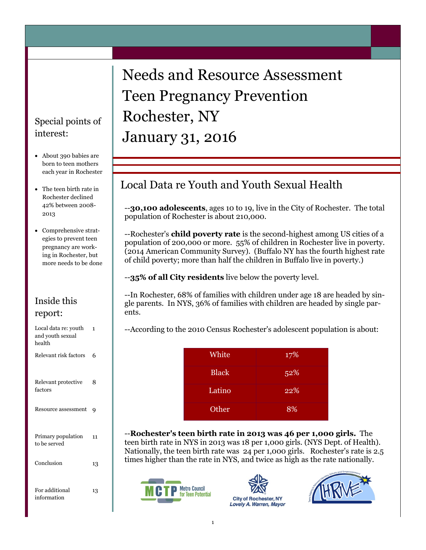### Special points of interest:

- About 390 babies are born to teen mothers each year in Rochester
- The teen birth rate in Rochester declined 42% between 2008- 2013
- Comprehensive strategies to prevent teen pregnancy are working in Rochester, but more needs to be done

#### Inside this report:

| Local data re: youth<br>and youth sexual<br>health | 1  |
|----------------------------------------------------|----|
| Relevant risk factors                              | 6  |
| Relevant protective<br>factors                     | 8  |
| Resource assessment                                | g  |
| Primary population<br>to be served                 | 11 |
| Conclusion                                         | 13 |
| For additional<br>information                      | 13 |

# Needs and Resource Assessment Teen Pregnancy Prevention Rochester, NY January 31, 2016

# Local Data re Youth and Youth Sexual Health

--**30,100 adolescents**, ages 10 to 19, live in the City of Rochester. The total population of Rochester is about 210,000.

--Rochester's **child poverty rate** is the second-highest among US cities of a population of 200,000 or more. 55% of children in Rochester live in poverty. (2014 American Community Survey). (Buffalo NY has the fourth highest rate of child poverty; more than half the children in Buffalo live in poverty.)

--**35% of all City residents** live below the poverty level.

--In Rochester, 68% of families with children under age 18 are headed by single parents. In NYS, 36% of families with children are headed by single parents.

--According to the 2010 Census Rochester's adolescent population is about:

| White        | 17% |
|--------------|-----|
| <b>Black</b> | 52% |
| Latino       | 22% |
| Other        | 8%  |

--**Rochester's teen birth rate in 2013 was 46 per 1,000 girls.** The teen birth rate in NYS in 2013 was 18 per 1,000 girls. (NYS Dept. of Health). Nationally, the teen birth rate was 24 per 1,000 girls. Rochester's rate is 2.5 times higher than the rate in NYS, and twice as high as the rate nationally.





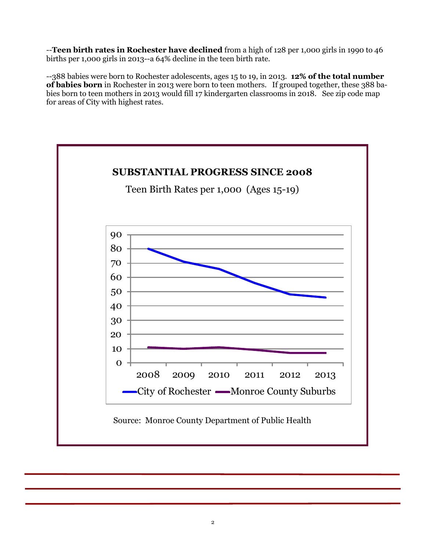--**Teen birth rates in Rochester have declined** from a high of 128 per 1,000 girls in 1990 to 46 births per 1,000 girls in 2013--a 64% decline in the teen birth rate.

--388 babies were born to Rochester adolescents, ages 15 to 19, in 2013. **12% of the total number of babies born** in Rochester in 2013 were born to teen mothers. If grouped together, these 388 babies born to teen mothers in 2013 would fill 17 kindergarten classrooms in 2018. See zip code map for areas of City with highest rates.

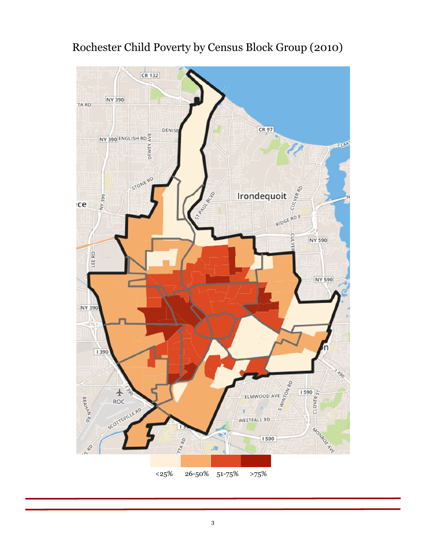

# Rochester Child Poverty by Census Block Group (2010)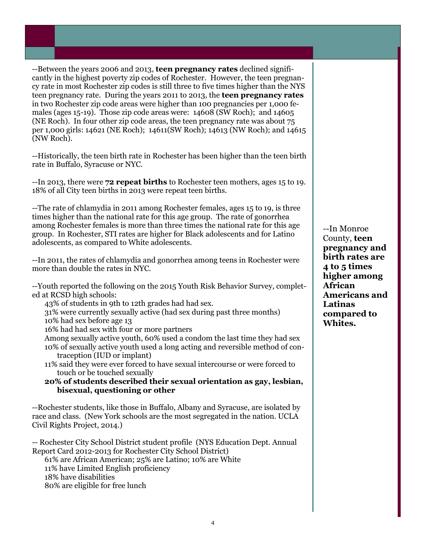--Between the years 2006 and 2013, **teen pregnancy rates** declined significantly in the highest poverty zip codes of Rochester. However, the teen pregnancy rate in most Rochester zip codes is still three to five times higher than the NYS teen pregnancy rate. During the years 2011 to 2013, the **teen pregnancy rates** in two Rochester zip code areas were higher than 100 pregnancies per 1,000 females (ages 15-19). Those zip code areas were: 14608 (SW Roch); and 14605 (NE Roch). In four other zip code areas, the teen pregnancy rate was about 75 per 1,000 girls: 14621 (NE Roch); 14611(SW Roch); 14613 (NW Roch); and 14615 (NW Roch).

--Historically, the teen birth rate in Rochester has been higher than the teen birth rate in Buffalo, Syracuse or NYC.

--In 2013, there were **72 repeat births** to Rochester teen mothers, ages 15 to 19. 18% of all City teen births in 2013 were repeat teen births.

--The rate of chlamydia in 2011 among Rochester females, ages 15 to 19, is three times higher than the national rate for this age group. The rate of gonorrhea among Rochester females is more than three times the national rate for this age group. In Rochester, STI rates are higher for Black adolescents and for Latino adolescents, as compared to White adolescents.

--In 2011, the rates of chlamydia and gonorrhea among teens in Rochester were more than double the rates in NYC.

--Youth reported the following on the 2015 Youth Risk Behavior Survey, completed at RCSD high schools:

43% of students in 9th to 12th grades had had sex.

31% were currently sexually active (had sex during past three months) 10% had sex before age 13

16% had had sex with four or more partners

Among sexually active youth, 60% used a condom the last time they had sex 10% of sexually active youth used a long acting and reversible method of contraception (IUD or implant)

11% said they were ever forced to have sexual intercourse or were forced to touch or be touched sexually

**20% of students described their sexual orientation as gay, lesbian, bisexual, questioning or other**

--Rochester students, like those in Buffalo, Albany and Syracuse, are isolated by race and class. (New York schools are the most segregated in the nation. UCLA Civil Rights Project, 2014.)

-- Rochester City School District student profile (NYS Education Dept. Annual Report Card 2012-2013 for Rochester City School District)

61% are African American; 25% are Latino; 10% are White 11% have Limited English proficiency 18% have disabilities 80% are eligible for free lunch

--In Monroe County, **teen pregnancy and birth rates are 4 to 5 times higher among African Americans and Latinas compared to Whites.**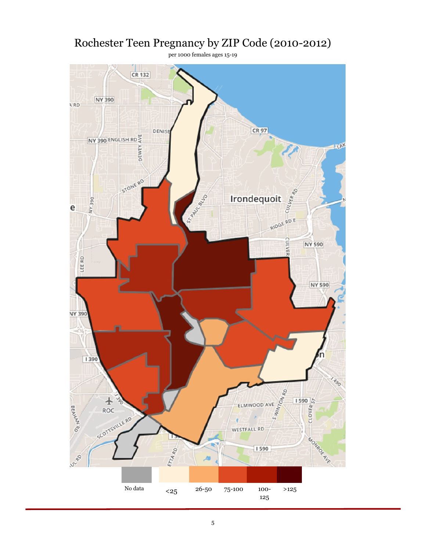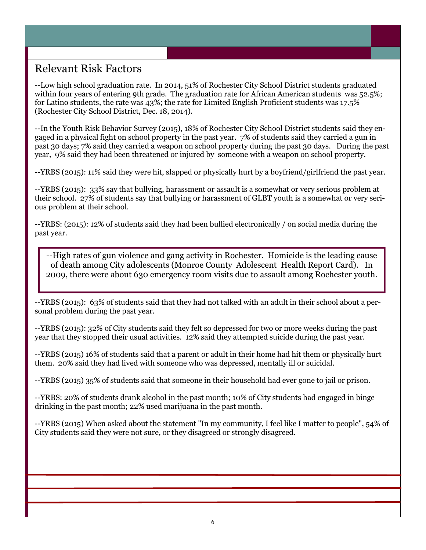# Relevant Risk Factors

--Low high school graduation rate. In 2014, 51% of Rochester City School District students graduated within four years of entering 9th grade. The graduation rate for African American students was 52.5%; for Latino students, the rate was 43%; the rate for Limited English Proficient students was 17.5% (Rochester City School District, Dec. 18, 2014).

--In the Youth Risk Behavior Survey (2015), 18% of Rochester City School District students said they engaged in a physical fight on school property in the past year. 7% of students said they carried a gun in past 30 days; 7% said they carried a weapon on school property during the past 30 days. During the past year, 9% said they had been threatened or injured by someone with a weapon on school property.

--YRBS (2015): 11% said they were hit, slapped or physically hurt by a boyfriend/girlfriend the past year.

--YRBS (2015): 33% say that bullying, harassment or assault is a somewhat or very serious problem at their school. 27% of students say that bullying or harassment of GLBT youth is a somewhat or very serious problem at their school.

--YRBS: (2015): 12% of students said they had been bullied electronically / on social media during the past year.

--High rates of gun violence and gang activity in Rochester. Homicide is the leading cause of death among City adolescents (Monroe County Adolescent Health Report Card). In 2009, there were about 630 emergency room visits due to assault among Rochester youth.

--YRBS (2015): 63% of students said that they had not talked with an adult in their school about a personal problem during the past year.

--YRBS (2015): 32% of City students said they felt so depressed for two or more weeks during the past year that they stopped their usual activities. 12% said they attempted suicide during the past year.

--YRBS (2015) 16% of students said that a parent or adult in their home had hit them or physically hurt them. 20% said they had lived with someone who was depressed, mentally ill or suicidal.

--YRBS (2015) 35% of students said that someone in their household had ever gone to jail or prison.

--YRBS: 20% of students drank alcohol in the past month; 10% of City students had engaged in binge drinking in the past month; 22% used marijuana in the past month.

--YRBS (2015) When asked about the statement "In my community, I feel like I matter to people", 54% of City students said they were not sure, or they disagreed or strongly disagreed.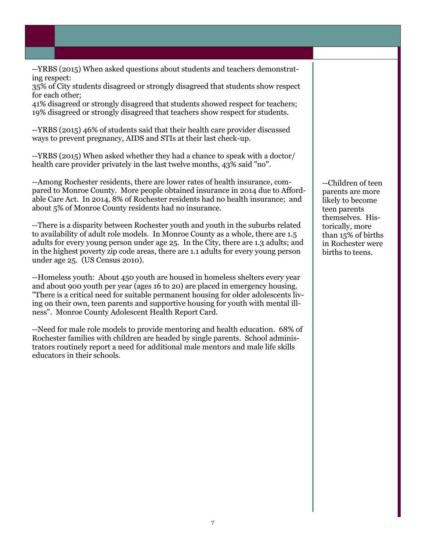--YRBS (2015) When asked questions about students and teachers demonstrating respect:

35% of City students disagreed or strongly disagreed that students show respect for each other;

41% disagreed or strongly disagreed that students showed respect for teachers; 19% disagreed or strongly disagreed that teachers show respect for students.

--YRBS (2015) 46% of students said that their health care provider discussed ways to prevent pregnancy, AIDS and STIs at their last check-up.

--YRBS (2015) When asked whether they had a chance to speak with a doctor/ health care provider privately in the last twelve months, 43% said "no".

--Among Rochester residents, there are lower rates of health insurance, compared to Monroe County. More people obtained insurance in 2014 due to Affordable Care Act. In 2014, 8% of Rochester residents had no health insurance; and about 5% of Monroe County residents had no insurance.

--There is a disparity between Rochester youth and youth in the suburbs related to availability of adult role models. In Monroe County as a whole, there are 1.5 adults for every young person under age 25. In the City, there are 1.3 adults; and in the highest poverty zip code areas, there are 1.1 adults for every young person under age 25. (US Census 2010).

--Homeless youth: About 450 youth are housed in homeless shelters every year and about 900 youth per year (ages 16 to 20) are placed in emergency housing. "There is a critical need for suitable permanent housing for older adolescents living on their own, teen parents and supportive housing for youth with mental illness". Monroe County Adolescent Health Report Card.

--Need for male role models to provide mentoring and health education. 68% of Rochester families with children are headed by single parents. School administrators routinely report a need for additional male mentors and male life skills educators in their schools.

--Children of teen parents are more likely to become teen parents themselves. Historically, more than 15% of births in Rochester were births to teens.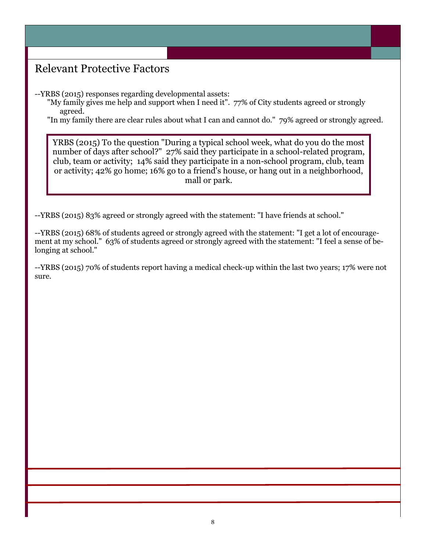# Relevant Protective Factors

--YRBS (2015) responses regarding developmental assets:

"My family gives me help and support when I need it". 77% of City students agreed or strongly agreed.

"In my family there are clear rules about what I can and cannot do." 79% agreed or strongly agreed.

YRBS (2015) To the question "During a typical school week, what do you do the most number of days after school?" 27% said they participate in a school-related program, club, team or activity; 14% said they participate in a non-school program, club, team or activity; 42% go home; 16% go to a friend's house, or hang out in a neighborhood, mall or park.

--YRBS (2015) 83% agreed or strongly agreed with the statement: "I have friends at school."

--YRBS (2015) 68% of students agreed or strongly agreed with the statement: "I get a lot of encouragement at my school." 63% of students agreed or strongly agreed with the statement: "I feel a sense of belonging at school."

--YRBS (2015) 70% of students report having a medical check-up within the last two years; 17% were not sure.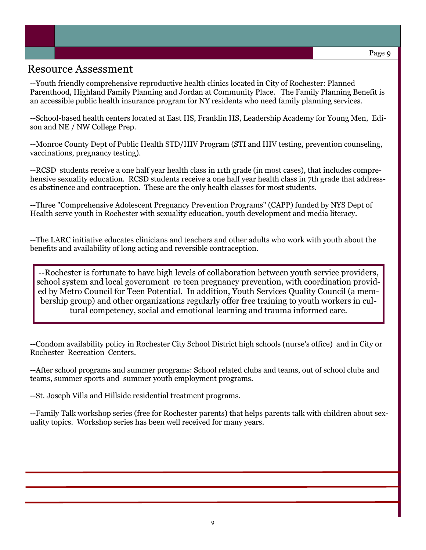### Resource Assessment

--Youth friendly comprehensive reproductive health clinics located in City of Rochester: Planned Parenthood, Highland Family Planning and Jordan at Community Place. The Family Planning Benefit is an accessible public health insurance program for NY residents who need family planning services.

--School-based health centers located at East HS, Franklin HS, Leadership Academy for Young Men, Edison and NE / NW College Prep.

--Monroe County Dept of Public Health STD/HIV Program (STI and HIV testing, prevention counseling, vaccinations, pregnancy testing).

--RCSD students receive a one half year health class in 11th grade (in most cases), that includes comprehensive sexuality education. RCSD students receive a one half year health class in 7th grade that addresses abstinence and contraception. These are the only health classes for most students.

--Three "Comprehensive Adolescent Pregnancy Prevention Programs" (CAPP) funded by NYS Dept of Health serve youth in Rochester with sexuality education, youth development and media literacy.

--The LARC initiative educates clinicians and teachers and other adults who work with youth about the benefits and availability of long acting and reversible contraception.

--Rochester is fortunate to have high levels of collaboration between youth service providers, school system and local government re teen pregnancy prevention, with coordination provided by Metro Council for Teen Potential. In addition, Youth Services Quality Council (a membership group) and other organizations regularly offer free training to youth workers in cultural competency, social and emotional learning and trauma informed care.

--Condom availability policy in Rochester City School District high schools (nurse's office) and in City or Rochester Recreation Centers.

--After school programs and summer programs: School related clubs and teams, out of school clubs and teams, summer sports and summer youth employment programs.

--St. Joseph Villa and Hillside residential treatment programs.

--Family Talk workshop series (free for Rochester parents) that helps parents talk with children about sexuality topics. Workshop series has been well received for many years.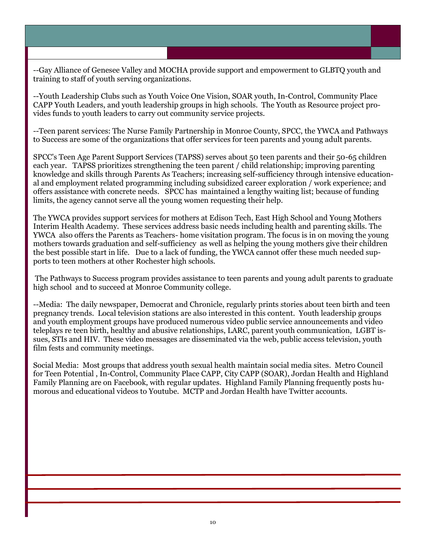--Gay Alliance of Genesee Valley and MOCHA provide support and empowerment to GLBTQ youth and training to staff of youth serving organizations.

--Youth Leadership Clubs such as Youth Voice One Vision, SOAR youth, In-Control, Community Place CAPP Youth Leaders, and youth leadership groups in high schools. The Youth as Resource project provides funds to youth leaders to carry out community service projects.

--Teen parent services: The Nurse Family Partnership in Monroe County, SPCC, the YWCA and Pathways to Success are some of the organizations that offer services for teen parents and young adult parents.

SPCC's Teen Age Parent Support Services (TAPSS) serves about 50 teen parents and their 50-65 children each year. TAPSS prioritizes strengthening the teen parent / child relationship; improving parenting knowledge and skills through Parents As Teachers; increasing self-sufficiency through intensive educational and employment related programming including subsidized career exploration / work experience; and offers assistance with concrete needs. SPCC has maintained a lengthy waiting list; because of funding limits, the agency cannot serve all the young women requesting their help.

The YWCA provides support services for mothers at Edison Tech, East High School and Young Mothers Interim Health Academy. These services address basic needs including health and parenting skills. The YWCA also offers the Parents as Teachers- home visitation program. The focus is in on moving the young mothers towards graduation and self-sufficiency as well as helping the young mothers give their children the best possible start in life. Due to a lack of funding, the YWCA cannot offer these much needed supports to teen mothers at other Rochester high schools.

The Pathways to Success program provides assistance to teen parents and young adult parents to graduate high school and to succeed at Monroe Community college.

--Media: The daily newspaper, Democrat and Chronicle, regularly prints stories about teen birth and teen pregnancy trends. Local television stations are also interested in this content. Youth leadership groups and youth employment groups have produced numerous video public service announcements and video teleplays re teen birth, healthy and abusive relationships, LARC, parent youth communication, LGBT issues, STIs and HIV. These video messages are disseminated via the web, public access television, youth film fests and community meetings.

Social Media: Most groups that address youth sexual health maintain social media sites. Metro Council for Teen Potential , In-Control, Community Place CAPP, City CAPP (SOAR), Jordan Health and Highland Family Planning are on Facebook, with regular updates. Highland Family Planning frequently posts humorous and educational videos to Youtube. MCTP and Jordan Health have Twitter accounts.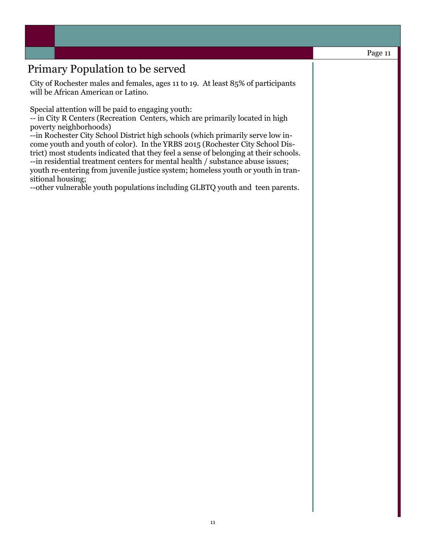# Primary Population to be served

City of Rochester males and females, ages 11 to 19. At least 85% of participants will be African American or Latino.

Special attention will be paid to engaging youth:

-- in City R Centers (Recreation Centers, which are primarily located in high poverty neighborhoods)

--in Rochester City School District high schools (which primarily serve low income youth and youth of color). In the YRBS 2015 (Rochester City School District) most students indicated that they feel a sense of belonging at their schools. --in residential treatment centers for mental health / substance abuse issues; youth re-entering from juvenile justice system; homeless youth or youth in transitional housing;

--other vulnerable youth populations including GLBTQ youth and teen parents.

#### Page 11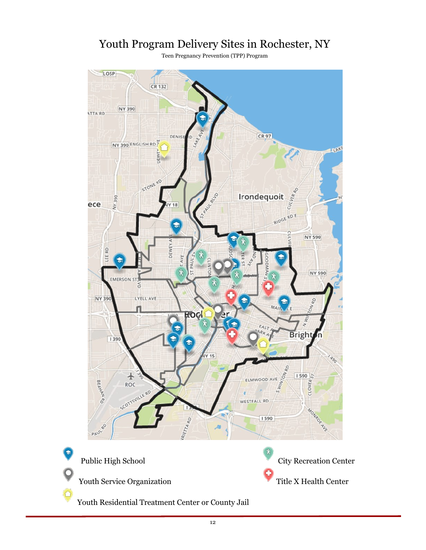# Youth Program Delivery Sites in Rochester, NY

Teen Pregnancy Prevention (TPP) Program



C